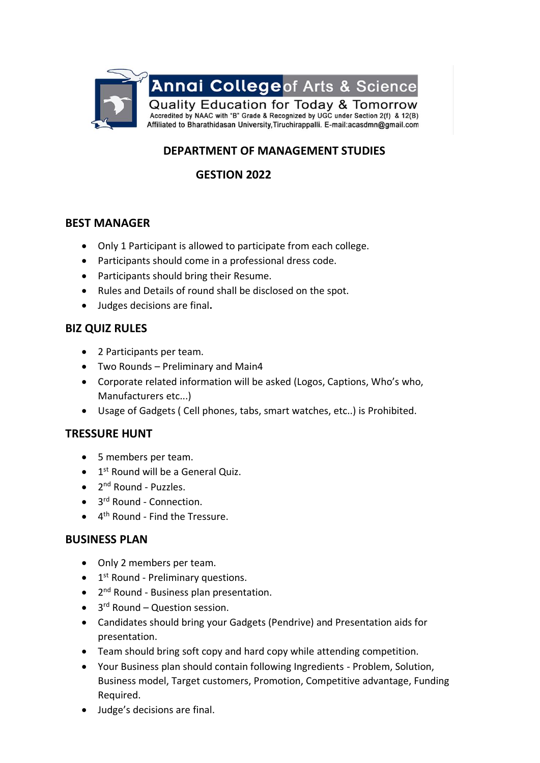

# **DEPARTMENT OF MANAGEMENT STUDIES**

# **GESTION 2022**

## **BEST MANAGER**

- Only 1 Participant is allowed to participate from each college.
- Participants should come in a professional dress code.
- Participants should bring their Resume.
- Rules and Details of round shall be disclosed on the spot.
- Judges decisions are final**.**

### **BIZ QUIZ RULES**

- 2 Participants per team.
- Two Rounds Preliminary and Main4
- Corporate related information will be asked (Logos, Captions, Who's who, Manufacturers etc...)
- Usage of Gadgets ( Cell phones, tabs, smart watches, etc..) is Prohibited.

### **TRESSURE HUNT**

- 5 members per team.
- 1<sup>st</sup> Round will be a General Quiz.
- 2<sup>nd</sup> Round Puzzles.
- 3<sup>rd</sup> Round Connection.
- 4<sup>th</sup> Round Find the Tressure.

### **BUSINESS PLAN**

- Only 2 members per team.
- 1<sup>st</sup> Round Preliminary questions.
- 2<sup>nd</sup> Round Business plan presentation.
- 3<sup>rd</sup> Round Question session.
- Candidates should bring your Gadgets (Pendrive) and Presentation aids for presentation.
- Team should bring soft copy and hard copy while attending competition.
- Your Business plan should contain following Ingredients Problem, Solution, Business model, Target customers, Promotion, Competitive advantage, Funding Required.
- Judge's decisions are final.